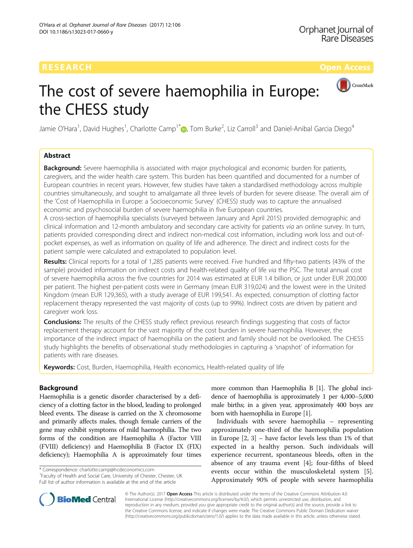

# The cost of severe haemophilia in Europe: the CHESS study

Jamie O'Hara<sup>1</sup>, David Hughes<sup>1</sup>, Charlotte Camp<sup>1\*</sup>®, Tom Burke<sup>2</sup>, Liz Carroll<sup>3</sup> and Daniel-Anibal Garcia Diego<sup>4</sup>

# Abstract

**Background:** Severe haemophilia is associated with major psychological and economic burden for patients, caregivers, and the wider health care system. This burden has been quantified and documented for a number of European countries in recent years. However, few studies have taken a standardised methodology across multiple countries simultaneously, and sought to amalgamate all three levels of burden for severe disease. The overall aim of the 'Cost of Haemophilia in Europe: a Socioeconomic Survey' (CHESS) study was to capture the annualised economic and psychosocial burden of severe haemophilia in five European countries.

A cross-section of haemophilia specialists (surveyed between January and April 2015) provided demographic and clinical information and 12-month ambulatory and secondary care activity for patients via an online survey. In turn, patients provided corresponding direct and indirect non-medical cost information, including work loss and out-ofpocket expenses, as well as information on quality of life and adherence. The direct and indirect costs for the patient sample were calculated and extrapolated to population level.

Results: Clinical reports for a total of 1,285 patients were received. Five hundred and fifty-two patients (43% of the sample) provided information on indirect costs and health-related quality of life via the PSC. The total annual cost of severe haemophilia across the five countries for 2014 was estimated at EUR 1.4 billion, or just under EUR 200,000 per patient. The highest per-patient costs were in Germany (mean EUR 319,024) and the lowest were in the United Kingdom (mean EUR 129,365), with a study average of EUR 199,541. As expected, consumption of clotting factor replacement therapy represented the vast majority of costs (up to 99%). Indirect costs are driven by patient and caregiver work loss.

**Conclusions:** The results of the CHESS study reflect previous research findings suggesting that costs of factor replacement therapy account for the vast majority of the cost burden in severe haemophilia. However, the importance of the indirect impact of haemophilia on the patient and family should not be overlooked. The CHESS study highlights the benefits of observational study methodologies in capturing a 'snapshot' of information for patients with rare diseases.

Keywords: Cost, Burden, Haemophilia, Health economics, Health-related quality of life

# Background

Haemophilia is a genetic disorder characterised by a deficiency of a clotting factor in the blood, leading to prolonged bleed events. The disease is carried on the X chromosome and primarily affects males, though female carriers of the gene may exhibit symptoms of mild haemophilia. The two forms of the condition are Haemophilia A (Factor VIII (FVIII) deficiency) and Haemophilia B (Factor IX (FIX) deficiency); Haemophilia A is approximately four times

\* Correspondence: [charlotte.camp@hcdeconomics.com](mailto:charlotte.camp@hcdeconomics.com) <sup>1</sup>

<sup>1</sup> Faculty of Health and Social Care, University of Chester, Chester, UK Full list of author information is available at the end of the article

more common than Haemophilia B [\[1\]](#page-6-0). The global incidence of haemophilia is approximately 1 per 4,000–5,000 male births; in a given year, approximately 400 boys are born with haemophilia in Europe [\[1\]](#page-6-0).

Individuals with severe haemophilia – representing approximately one-third of the haemophilia population in Europe [[2, 3\]](#page-6-0) – have factor levels less than 1% of that expected in a healthy person. Such individuals will experience recurrent, spontaneous bleeds, often in the absence of any trauma event [[4\]](#page-6-0); four-fifths of bleed events occur within the musculoskeletal system [\[5](#page-6-0)]. Approximately 90% of people with severe haemophilia



© The Author(s). 2017 Open Access This article is distributed under the terms of the Creative Commons Attribution 4.0 International License [\(http://creativecommons.org/licenses/by/4.0/](http://creativecommons.org/licenses/by/4.0/)), which permits unrestricted use, distribution, and reproduction in any medium, provided you give appropriate credit to the original author(s) and the source, provide a link to the Creative Commons license, and indicate if changes were made. The Creative Commons Public Domain Dedication waiver [\(http://creativecommons.org/publicdomain/zero/1.0/](http://creativecommons.org/publicdomain/zero/1.0/)) applies to the data made available in this article, unless otherwise stated.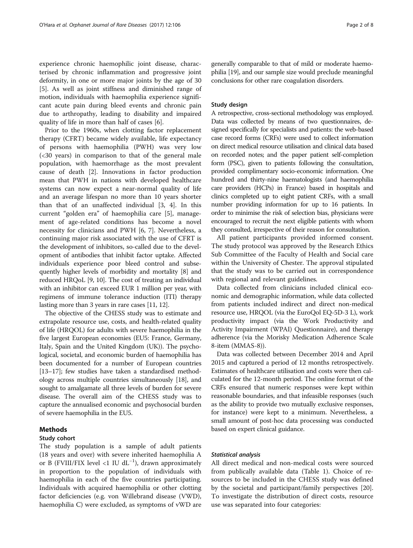experience chronic haemophilic joint disease, characterised by chronic inflammation and progressive joint deformity, in one or more major joints by the age of 30 [[5\]](#page-6-0). As well as joint stiffness and diminished range of motion, individuals with haemophilia experience significant acute pain during bleed events and chronic pain due to arthropathy, leading to disability and impaired quality of life in more than half of cases [[6\]](#page-6-0).

Prior to the 1960s, when clotting factor replacement therapy (CFRT) became widely available, life expectancy of persons with haemophilia (PWH) was very low (<30 years) in comparison to that of the general male population, with haemorrhage as the most prevalent cause of death [[2\]](#page-6-0). Innovations in factor production mean that PWH in nations with developed healthcare systems can now expect a near-normal quality of life and an average lifespan no more than 10 years shorter than that of an unaffected individual [\[3](#page-6-0), [4\]](#page-6-0). In this current "golden era" of haemophilia care [\[5](#page-6-0)], management of age-related conditions has become a novel necessity for clinicians and PWH [\[6, 7\]](#page-6-0). Nevertheless, a continuing major risk associated with the use of CFRT is the development of inhibitors, so-called due to the development of antibodies that inhibit factor uptake. Affected individuals experience poor bleed control and subsequently higher levels of morbidity and mortality [[8](#page-6-0)] and reduced HRQoL [\[9, 10](#page-6-0)]. The cost of treating an individual with an inhibitor can exceed EUR 1 million per year, with regimens of immune tolerance induction (ITI) therapy lasting more than 3 years in rare cases [\[11, 12](#page-6-0)].

The objective of the CHESS study was to estimate and extrapolate resource use, costs, and health-related quality of life (HRQOL) for adults with severe haemophilia in the five largest European economies (EU5: France, Germany, Italy, Spain and the United Kingdom (UK)). The psychological, societal, and economic burden of haemophilia has been documented for a number of European countries [[13](#page-6-0)–[17\]](#page-6-0); few studies have taken a standardised methodology across multiple countries simultaneously [[18](#page-6-0)], and sought to amalgamate all three levels of burden for severe disease. The overall aim of the CHESS study was to capture the annualised economic and psychosocial burden of severe haemophilia in the EU5.

# Methods

# Study cohort

The study population is a sample of adult patients (18 years and over) with severe inherited haemophilia A or B (FVIII/FIX level <1 IU dL−<sup>1</sup> ), drawn approximately in proportion to the population of individuals with haemophilia in each of the five countries participating. Individuals with acquired haemophilia or other clotting factor deficiencies (e.g. von Willebrand disease (VWD), haemophilia C) were excluded, as symptoms of vWD are generally comparable to that of mild or moderate haemophilia [\[19\]](#page-6-0), and our sample size would preclude meaningful conclusions for other rare coagulation disorders.

# Study design

A retrospective, cross-sectional methodology was employed. Data was collected by means of two questionnaires, designed specifically for specialists and patients: the web-based case record forms (CRFs) were used to collect information on direct medical resource utilisation and clinical data based on recorded notes; and the paper patient self-completion form (PSC), given to patients following the consultation, provided complimentary socio-economic information. One hundred and thirty-nine haematologists (and haemophilia care providers (HCPs) in France) based in hospitals and clinics completed up to eight patient CRFs, with a small number providing information for up to 16 patients. In order to minimise the risk of selection bias, physicians were encouraged to recruit the next eligible patients with whom they consulted, irrespective of their reason for consultation.

All patient participants provided informed consent. The study protocol was approved by the Research Ethics Sub Committee of the Faculty of Health and Social care within the University of Chester. The approval stipulated that the study was to be carried out in correspondence with regional and relevant guidelines.

Data collected from clinicians included clinical economic and demographic information, while data collected from patients included indirect and direct non-medical resource use, HRQOL (via the EuroQol EQ-5D-3 L), work productivity impact (via the Work Productivity and Activity Impairment (WPAI) Questionnaire), and therapy adherence (via the Morisky Medication Adherence Scale 8-item (MMAS-8)).

Data was collected between December 2014 and April 2015 and captured a period of 12 months retrospectively. Estimates of healthcare utilisation and costs were then calculated for the 12-month period. The online format of the CRFs ensured that numeric responses were kept within reasonable boundaries, and that infeasible responses (such as the ability to provide two mutually exclusive responses, for instance) were kept to a minimum. Nevertheless, a small amount of post-hoc data processing was conducted based on expert clinical guidance.

# Statistical analysis

All direct medical and non-medical costs were sourced from publically available data (Table [1](#page-2-0)). Choice of resources to be included in the CHESS study was defined by the societal and participant/family perspectives [\[20](#page-6-0)]. To investigate the distribution of direct costs, resource use was separated into four categories: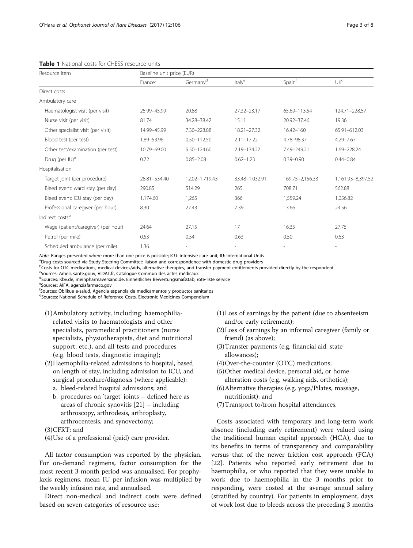**Table 1 Nation** 

Indirect costs<sup>b</sup>

<span id="page-2-0"></span>

| <b>Table 1</b> National costs for CHESS resource units |                           |                      |                    |                    |                   |  |  |
|--------------------------------------------------------|---------------------------|----------------------|--------------------|--------------------|-------------------|--|--|
| Resource item                                          | Baseline unit price (EUR) |                      |                    |                    |                   |  |  |
|                                                        | France <sup>c</sup>       | Germany <sup>d</sup> | Italy <sup>e</sup> | Spain <sup>t</sup> | UK <sup>g</sup>   |  |  |
| Direct costs                                           |                           |                      |                    |                    |                   |  |  |
| Ambulatory care                                        |                           |                      |                    |                    |                   |  |  |
| Haematologist visit (per visit)                        | 25.99-45.99               | 20.88                | 27.32-23.17        | 65.69-113.54       | 124.71-228.57     |  |  |
| Nurse visit (per visit)                                | 81.74                     | 34.28-38.42          | 15.11              | 20.92-37.46        | 19.36             |  |  |
| Other specialist visit (per visit)                     | 14.99-45.99               | 7.30-228.88          | 18.21-27.32        | $16.42 - 160$      | 65.91-612.03      |  |  |
| Blood test (per test)                                  | 1.89–53.96                | $0.50 - 112.50$      | $2.11 - 17.22$     | 4.78-98.37         | $4.29 - 7.67$     |  |  |
| Other test/examination (per test)                      | 10.79-69.00               | $5.50 - 124.60$      | 2.19-134.27        | 7.49-249.21        | 1.69-228.24       |  |  |
| Drug (per $ U ^a$                                      | 0.72                      | $0.85 - 2.08$        | $0.62 - 1.23$      | $0.39 - 0.90$      | $0.44 - 0.84$     |  |  |
| Hospitalisation                                        |                           |                      |                    |                    |                   |  |  |
| Target joint (per procedure)                           | 28.81-534.40              | 12.02-1,719.43       | 33.48-1,032.91     | 169.75-2,156.33    | 1,161.93-8,397.52 |  |  |

Note. Ranges presented where more than one price is possible; ICU: intensive care unit; IU: International Units <sup>a</sup>

<sup>a</sup>Drug costs sourced via Study Steering Committee liaison and correspondence with domestic drug providers

**<sup>b</sup>Costs for OTC** medications, medical devices/aids, alternative therapies, and transfer payment entitlements provided directly by the respondent

Bleed event: ward stay (per day) 290.85 514.29 265 708.71 562.88 Bleed event: ICU stay (per day)  $1,174.60$   $1,265$   $366$   $1,559.24$   $1,056.82$ Professional caregiver (per hour) 8.30 27.43 7.39 13.66 24.56

Wage (patient/caregiver) (per hour) 24.64 27.15 17 16.35 27.75 Petrol (per mile) 0.53 0.54 0.63 0.63 0.63 0.63 0.63

<sup>c</sup>Sources: Ameli, sante.gouv, ViDAL.fr, Catalogue Commun des actes médicaux

dSources: Kbv.de, meinpharmaversand.de, Einheitlicher Bewertungsmaßstab, rote-liste service

<sup>e</sup>Sources: AIFA, agenziafarmaco.gov

Scheduled ambulance (per mile) 1.36

f Sources: Oblikue e-salud, Agencia espanola de medicamentos y productos sanitarios

<sup>9</sup>Sources: National Schedule of Reference Costs, Electronic Medicines Compendium

- (1)Ambulatory activity, including: haemophiliarelated visits to haematologists and other specialists, paramedical practitioners (nurse specialists, physiotherapists, diet and nutritional support, etc.), and all tests and procedures (e.g. blood tests, diagnostic imaging);
- (2)Haemophilia-related admissions to hospital, based on length of stay, including admission to ICU, and surgical procedure/diagnosis (where applicable):
	- a. bleed-related hospital admissions; and
	- b. procedures on 'target' joints defined here as areas of chronic synovitis [\[21\]](#page-6-0) – including arthroscopy, arthrodesis, arthroplasty, arthrocentesis, and synovectomy;

# (3)CFRT; and

(4)Use of a professional (paid) care provider.

All factor consumption was reported by the physician. For on-demand regimens, factor consumption for the most recent 3-month period was annualised. For prophylaxis regimens, mean IU per infusion was multiplied by the weekly infusion rate, and annualised.

Direct non-medical and indirect costs were defined based on seven categories of resource use:

- (1)Loss of earnings by the patient (due to absenteeism and/or early retirement);
- (2)Loss of earnings by an informal caregiver (family or friend) (as above);
- (3)Transfer payments (e.g. financial aid, state allowances);
- (4)Over-the-counter (OTC) medications;
- (5)Other medical device, personal aid, or home alteration costs (e.g. walking aids, orthotics);
- (6)Alternative therapies (e.g. yoga/Pilates, massage, nutritionist); and
- (7)Transport to/from hospital attendances.

Costs associated with temporary and long-term work absence (including early retirement) were valued using the traditional human capital approach (HCA), due to its benefits in terms of transparency and comparability versus that of the newer friction cost approach (FCA) [[22\]](#page-6-0). Patients who reported early retirement due to haemophilia, or who reported that they were unable to work due to haemophilia in the 3 months prior to responding, were costed at the average annual salary (stratified by country). For patients in employment, days of work lost due to bleeds across the preceding 3 months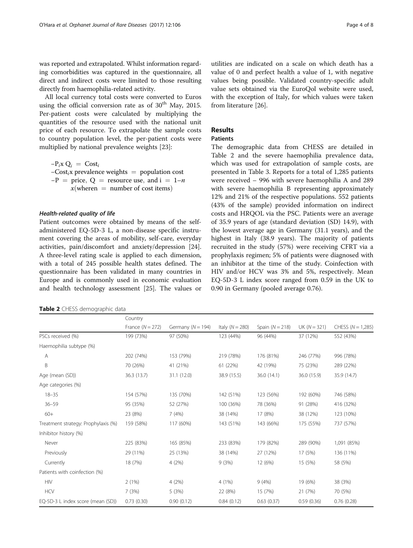was reported and extrapolated. Whilst information regarding comorbidities was captured in the questionnaire, all direct and indirect costs were limited to those resulting directly from haemophilia-related activity.

All local currency total costs were converted to Euros using the official conversion rate as of  $30<sup>th</sup>$  May, 2015. Per-patient costs were calculated by multiplying the quantities of the resource used with the national unit price of each resource. To extrapolate the sample costs to country population level, the per-patient costs were multiplied by national prevalence weights [\[23\]](#page-6-0):

 $-P_iX Q_i = \text{Cost}_i$  $-Cost_i x$  prevalence weights  $=$  population cost  $-P =$  price, Q = resource use, and i = 1–n  $x($ wheren = number of cost items)

# Health-related quality of life

Patient outcomes were obtained by means of the selfadministered EQ-5D-3 L, a non-disease specific instrument covering the areas of mobility, self-care, everyday activities, pain/discomfort and anxiety/depression [\[24](#page-6-0)]. A three-level rating scale is applied to each dimension, with a total of 245 possible health states defined. The questionnaire has been validated in many countries in Europe and is commonly used in economic evaluation and health technology assessment [\[25](#page-6-0)]. The values or

utilities are indicated on a scale on which death has a value of 0 and perfect health a value of 1, with negative values being possible. Validated country-specific adult value sets obtained via the EuroQol website were used, with the exception of Italy, for which values were taken from literature [[26\]](#page-6-0).

# Results

# Patients

The demographic data from CHESS are detailed in Table 2 and the severe haemophilia prevalence data, which was used for extrapolation of sample costs, are presented in Table [3](#page-4-0). Reports for a total of 1,285 patients were received – 996 with severe haemophilia A and 289 with severe haemophilia B representing approximately 12% and 21% of the respective populations. 552 patients (43% of the sample) provided information on indirect costs and HRQOL via the PSC. Patients were an average of 35.9 years of age (standard deviation (SD) 14.9), with the lowest average age in Germany (31.1 years), and the highest in Italy (38.9 years). The majority of patients recruited in the study (57%) were receiving CFRT via a prophylaxis regimen; 5% of patients were diagnosed with an inhibitor at the time of the study. Coinfection with HIV and/or HCV was 3% and 5%, respectively. Mean EQ-5D-3 L index score ranged from 0.59 in the UK to 0.90 in Germany (pooled average 0.76).

|                                     | Country            |                       |                   |                   |                |                       |  |
|-------------------------------------|--------------------|-----------------------|-------------------|-------------------|----------------|-----------------------|--|
|                                     | France $(N = 272)$ | Germany ( $N = 194$ ) | Italy $(N = 280)$ | Spain $(N = 218)$ | UK $(N = 321)$ | CHESS ( $N = 1,285$ ) |  |
| PSCs received (%)                   | 199 (73%)          | 97 (50%)              | 123 (44%)         | 96 (44%)          | 37 (12%)       | 552 (43%)             |  |
| Haemophilia subtype (%)             |                    |                       |                   |                   |                |                       |  |
| Α                                   | 202 (74%)          | 153 (79%)             | 219 (78%)         | 176 (81%)         | 246 (77%)      | 996 (78%)             |  |
| B                                   | 70 (26%)           | 41 (21%)              | 61 (22%)          | 42 (19%)          | 75 (23%)       | 289 (22%)             |  |
| Age (mean (SD))                     | 36.3 (13.7)        | 31.1(12.0)            | 38.9 (15.5)       | 36.0 (14.1)       | 36.0 (15.9)    | 35.9 (14.7)           |  |
| Age categories (%)                  |                    |                       |                   |                   |                |                       |  |
| $18 - 35$                           | 154 (57%)          | 135 (70%)             | 142 (51%)         | 123 (56%)         | 192 (60%)      | 746 (58%)             |  |
| $36 - 59$                           | 95 (35%)           | 52 (27%)              | 100 (36%)         | 78 (36%)          | 91 (28%)       | 416 (32%)             |  |
| $60+$                               | 23 (8%)            | 7(4%)                 | 38 (14%)          | 17 (8%)           | 38 (12%)       | 123 (10%)             |  |
| Treatment strategy: Prophylaxis (%) | 159 (58%)          | 117 (60%)             | 143 (51%)         | 143 (66%)         | 175 (55%)      | 737 (57%)             |  |
| Inhibitor history (%)               |                    |                       |                   |                   |                |                       |  |
| Never                               | 225 (83%)          | 165 (85%)             | 233 (83%)         | 179 (82%)         | 289 (90%)      | 1,091 (85%)           |  |
| Previously                          | 29 (11%)           | 25 (13%)              | 38 (14%)          | 27 (12%)          | 17 (5%)        | 136 (11%)             |  |
| Currently                           | 18 (7%)            | 4(2%)                 | 9(3%)             | 12 (6%)           | 15 (5%)        | 58 (5%)               |  |
| Patients with coinfection (%)       |                    |                       |                   |                   |                |                       |  |
| <b>HIV</b>                          | 2(1%)              | 4(2%)                 | 4(1%)             | 9(4%)             | 19 (6%)        | 38 (3%)               |  |
| <b>HCV</b>                          | 7(3%)              | 5(3%)                 | 22 (8%)           | 15 (7%)           | 21 (7%)        | 70 (5%)               |  |
| EQ-5D-3 L index score (mean (SD))   | 0.73(0.30)         | 0.90(0.12)            | 0.84(0.12)        | 0.63(0.37)        | 0.59(0.36)     | 0.76(0.28)            |  |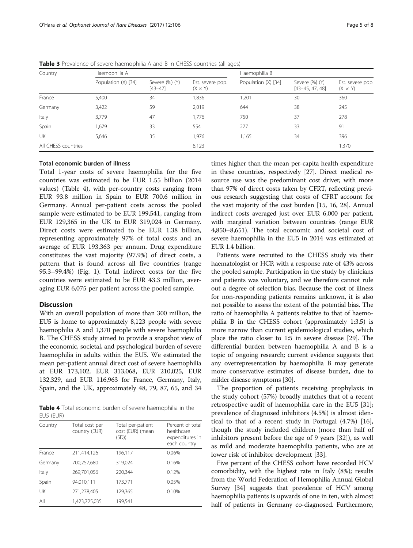| Country             | Haemophilia A       |                               |                                    | Haemophilia B       |                                       |                                    |
|---------------------|---------------------|-------------------------------|------------------------------------|---------------------|---------------------------------------|------------------------------------|
|                     | Population (X) [34] | Severe (%) (Y)<br>$[43 - 47]$ | Est. severe pop.<br>$(X \times Y)$ | Population (X) [34] | Severe (%) (Y)<br>$[43 - 45, 47, 48]$ | Est. severe pop.<br>$(X \times Y)$ |
| France              | 5,400               | 34                            | 1,836                              | 1,201               | 30                                    | 360                                |
| Germany             | 3,422               | 59                            | 2,019                              | 644                 | 38                                    | 245                                |
| Italy               | 3,779               | 47                            | 1,776                              | 750                 | 37                                    | 278                                |
| Spain               | 1,679               | 33                            | 554                                | 277                 | 33                                    | 91                                 |
| UK                  | 5,646               | 35                            | 1,976                              | 1,165               | 34                                    | 396                                |
| All CHESS countries |                     |                               | 8,123                              |                     |                                       | 1,370                              |

<span id="page-4-0"></span>Table 3 Prevalence of severe haemophilia A and B in CHESS countries (all ages)

# Total economic burden of illness

Total 1-year costs of severe haemophilia for the five countries was estimated to be EUR 1.55 billion (2014 values) (Table 4), with per-country costs ranging from EUR 93.8 million in Spain to EUR 700.6 million in Germany. Annual per-patient costs across the pooled sample were estimated to be EUR 199,541, ranging from EUR 129,365 in the UK to EUR 319,024 in Germany. Direct costs were estimated to be EUR 1.38 billion, representing approximately 97% of total costs and an average of EUR 193,363 per annum. Drug expenditure constitutes the vast majority (97.9%) of direct costs, a pattern that is found across all five countries (range 95.3–99.4%) (Fig. [1\)](#page-5-0). Total indirect costs for the five countries were estimated to be EUR 43.3 million, averaging EUR 6,075 per patient across the pooled sample.

# **Discussion**

With an overall population of more than 300 million, the EU5 is home to approximately 8,123 people with severe haemophilia A and 1,370 people with severe haemophilia B. The CHESS study aimed to provide a snapshot view of the economic, societal, and psychological burden of severe haemophilia in adults within the EU5. We estimated the mean per-patient annual direct cost of severe haemophilia at EUR 173,102, EUR 313,068, EUR 210,025, EUR 132,329, and EUR 116,963 for France, Germany, Italy, Spain, and the UK, approximately 48, 79, 87, 65, and 34

Table 4 Total economic burden of severe haemophilia in the EU5 (EUR)

| Country | Total cost per<br>country (EUR) | Total per-patient<br>cost (EUR) (mean<br>(SD) | Percent of total<br>healthcare<br>expenditures in<br>each country |
|---------|---------------------------------|-----------------------------------------------|-------------------------------------------------------------------|
| France  | 211,414,126                     | 196.117                                       | 0.06%                                                             |
| Germany | 700.257.680                     | 319,024                                       | 0.16%                                                             |
| Italy   | 269,701,056                     | 220.344                                       | 0.12%                                                             |
| Spain   | 94,010,111                      | 173,771                                       | 0.05%                                                             |
| UK      | 271,278,405                     | 129,365                                       | 0.10%                                                             |
| All     | 1.423.725.035                   | 199.541                                       |                                                                   |

times higher than the mean per-capita health expenditure in these countries, respectively [[27](#page-6-0)]. Direct medical resource use was the predominant cost driver, with more than 97% of direct costs taken by CFRT, reflecting previous research suggesting that costs of CFRT account for the vast majority of the cost burden [[15, 16, 28](#page-6-0)]. Annual indirect costs averaged just over EUR 6,000 per patient, with marginal variation between countries (range EUR 4,850–8,651). The total economic and societal cost of severe haemophilia in the EU5 in 2014 was estimated at EUR 1.4 billion.

Patients were recruited to the CHESS study via their haematologist or HCP, with a response rate of 43% across the pooled sample. Participation in the study by clinicians and patients was voluntary, and we therefore cannot rule out a degree of selection bias. Because the cost of illness for non-responding patients remains unknown, it is also not possible to assess the extent of the potential bias. The ratio of haemophilia A patients relative to that of haemophilia B in the CHESS cohort (approximately 1:3.5) is more narrow than current epidemiological studies, which place the ratio closer to 1:5 in severe disease [\[29](#page-6-0)]. The differential burden between haemophilia A and B is a topic of ongoing research; current evidence suggests that any overrepresentation by haemophilia B may generate more conservative estimates of disease burden, due to milder disease symptoms [[30\]](#page-7-0).

The proportion of patients receiving prophylaxis in the study cohort (57%) broadly matches that of a recent retrospective audit of haemophilia care in the EU5 [\[31](#page-7-0)]; prevalence of diagnosed inhibitors (4.5%) is almost identical to that of a recent study in Portugal (4.7%) [\[16](#page-6-0)], though the study included children (more than half of inhibitors present before the age of 9 years [\[32\]](#page-7-0)), as well as mild and moderate haemophilia patients, who are at lower risk of inhibitor development [\[33](#page-7-0)].

Five percent of the CHESS cohort have recorded HCV comorbidity, with the highest rate in Italy (8%); results from the World Federation of Hemophilia Annual Global Survey [\[34\]](#page-7-0) suggests that prevalence of HCV among haemophilia patients is upwards of one in ten, with almost half of patients in Germany co-diagnosed. Furthermore,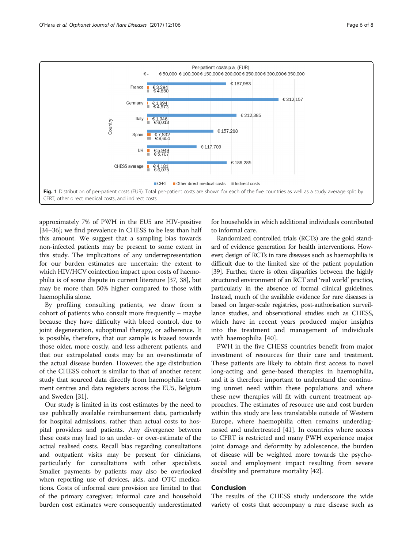<span id="page-5-0"></span>

approximately 7% of PWH in the EU5 are HIV-positive [[34](#page-7-0)–[36\]](#page-7-0); we find prevalence in CHESS to be less than half this amount. We suggest that a sampling bias towards non-infected patients may be present to some extent in this study. The implications of any underrepresentation for our burden estimates are uncertain: the extent to which HIV/HCV coinfection impact upon costs of haemophilia is of some dispute in current literature [\[37](#page-7-0), [38\]](#page-7-0), but may be more than 50% higher compared to those with haemophilia alone.

By profiling consulting patients, we draw from a cohort of patients who consult more frequently – maybe because they have difficulty with bleed control, due to joint degeneration, suboptimal therapy, or adherence. It is possible, therefore, that our sample is biased towards those older, more costly, and less adherent patients, and that our extrapolated costs may be an overestimate of the actual disease burden. However, the age distribution of the CHESS cohort is similar to that of another recent study that sourced data directly from haemophilia treatment centres and data registers across the EU5, Belgium and Sweden [\[31\]](#page-7-0).

Our study is limited in its cost estimates by the need to use publically available reimbursement data, particularly for hospital admissions, rather than actual costs to hospital providers and patients. Any divergence between these costs may lead to an under- or over-estimate of the actual realised costs. Recall bias regarding consultations and outpatient visits may be present for clinicians, particularly for consultations with other specialists. Smaller payments by patients may also be overlooked when reporting use of devices, aids, and OTC medications. Costs of informal care provision are limited to that of the primary caregiver; informal care and household burden cost estimates were consequently underestimated

for households in which additional individuals contributed to informal care.

Randomized controlled trials (RCTs) are the gold standard of evidence generation for health interventions. However, design of RCTs in rare diseases such as haemophilia is difficult due to the limited size of the patient population [[39](#page-7-0)]. Further, there is often disparities between the highly structured environment of an RCT and 'real world' practice, particularly in the absence of formal clinical guidelines. Instead, much of the available evidence for rare diseases is based on larger-scale registries, post-authorisation surveillance studies, and observational studies such as CHESS, which have in recent years produced major insights into the treatment and management of individuals with haemophilia [[40](#page-7-0)].

PWH in the five CHESS countries benefit from major investment of resources for their care and treatment. These patients are likely to obtain first access to novel long-acting and gene-based therapies in haemophilia, and it is therefore important to understand the continuing unmet need within these populations and where these new therapies will fit with current treatment approaches. The estimates of resource use and cost burden within this study are less translatable outside of Western Europe, where haemophilia often remains underdiagnosed and undertreated [\[41](#page-7-0)]. In countries where access to CFRT is restricted and many PWH experience major joint damage and deformity by adolescence, the burden of disease will be weighted more towards the psychosocial and employment impact resulting from severe disability and premature mortality [[42](#page-7-0)].

# Conclusion

The results of the CHESS study underscore the wide variety of costs that accompany a rare disease such as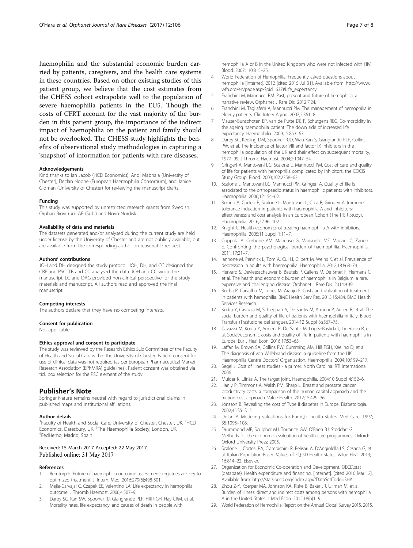<span id="page-6-0"></span>haemophilia and the substantial economic burden carried by patients, caregivers, and the health care systems in these countries. Based on other existing studies of this patient group, we believe that the cost estimates from the CHESS cohort extrapolate well to the population of severe haemophilia patients in the EU5. Though the costs of CFRT account for the vast majority of the burden in this patient group, the importance of the indirect impact of haemophilia on the patient and family should not be overlooked. The CHESS study highlights the benefits of observational study methodologies in capturing a 'snapshot' of information for patients with rare diseases.

#### Acknowledgements

Kind thanks to Ian Jacob (HCD Economics), Andi Mabhala (University of Chester), Declan Noone (European Haemophilia Consortium), and Janice Gidman (University of Chester) for reviewing the manuscript drafts.

### Funding

This study was supported by unrestricted research grants from Swedish Orphan Biovitrum AB (Sobi) and Novo Nordisk.

#### Availability of data and materials

The datasets generated and/or analysed during the current study are held under license by the University of Chester and are not publicly available, but are available from the corresponding author on reasonable request.

#### Authors' contributions

JOH and DH designed the study protocol. JOH, DH, and CC designed the CRF and PSC. TB and CC analysed the data. JOH and CC wrote the manuscript. LC and DAG provided non-clinical perspective for the study materials and manuscript. All authors read and approved the final manuscript.

#### Competing interests

The authors declare that they have no competing interests.

#### Consent for publication

Not applicable.

# Ethics approval and consent to participate

The study was reviewed by the Research Ethics Sub Committee of the Faculty of Health and Social Care within the University of Chester. Patient consent for use of clinical data was not required (as per European Pharmaceutical Market Research Association (EPhMRA) guidelines). Patient consent was obtained via tick box selection for the PSC element of the study.

# Publisher's Note

Springer Nature remains neutral with regard to jurisdictional claims in published maps and institutional affiliations.

#### Author details

<sup>1</sup> Faculty of Health and Social Care, University of Chester, Chester, UK. <sup>2</sup>HCD Economics, Daresbury, UK. <sup>3</sup>The Haemophilia Society, London, UK.<br><sup>4</sup>EodHamo, Madrid, Spain <sup>4</sup>FedHemo, Madrid, Spain.

# Received: 15 March 2017 Accepted: 22 May 2017 Published online: 31 May 2017

# References

- 1. Berntorp E. Future of haemophilia outcome assessment: registries are key to optimized treatment. J. Intern. Med. 2016:279(6):498-501.
- 2. Mejia-Carvajal C, Czapek EE, Valentino LA. Life expectancy in hemophilia outcome. J Thromb Haemost. 2006;4:507–9.
- 3. Darby SC, Kan SW, Spooner RJ, Giangrande PLF, Hill FGH, Hay CRM, et al. Mortality rates, life expectancy, and causes of death in people with

hemophilia A or B in the United Kingdom who were not infected with HIV. Blood. 2007;110:815–25.

- 4. World Federation of Hemophilia. Frequently asked questions about hemophilia [Internet]. 2012 [cited 2015 Jul 31]. Available from: [http://www.](http://www.wfh.org/en/page.aspx?pid=637#Life_expectancy) [wfh.org/en/page.aspx?pid=637#Life\\_expectancy](http://www.wfh.org/en/page.aspx?pid=637#Life_expectancy)
- 5. Franchini M, Mannucci PM. Past, present and future of hemophilia: a narrative review. Orphanet J Rare Dis. 2012;7:24.
- 6. Franchini M, Tagliaferri A, Mannucci PM. The management of hemophilia in elderly patients. Clin Interv Aging. 2007;2:361–8.
- 7. Mauser-Bunschoten EP, van de Putte DE F, Schutgens REG. Co-morbidity in the ageing haemophilia patient: The down side of increased life expectancy. Haemophilia. 2009;15:853–63.
- 8. Darby SC, Keeling DM, Spooner RJD, Wan Kan S, Giangrande PLF, Collins PW, et al. The incidence of factor VIII and factor IX inhibitors in the hemophilia population of the UK and their effect on subsequent mortality, 1977–99. J Thromb Haemost. 2004;2:1047–54.
- 9. Gringeri A, Mantovani LG, Scalone L, Mannucci PM. Cost of care and quality of life for patients with hemophilia complicated by inhibitors: the COCIS Study Group. Blood. 2003;102:2358–63.
- 10. Scalone L, Mantovani LG, Mannucci PM, Gringeri A. Quality of life is associated to the orthopaedic status in haemophilic patients with inhibitors. Haemophilia. 2006;12:154–62.
- 11. Rocino A, Cortesi P, Scalone L, Mantovani L, Crea R, Gringeri A. Immune tolerance induction in patients with haemophilia A and inhibitors: effectiveness and cost analysis in an European Cohort (The ITER Study). Haemophilia. 2016;22:96–102.
- 12. Knight C. Health economics of treating haemophilia A with inhibitors. Haemophilia. 2005;11 Suppl 1:11–7.
- 13. Coppola A, Cerbone AM, Mancuso G, Mansueto MF, Mazzini C, Zanon E. Confronting the psychological burden of haemophilia. Haemophilia. 2011;17:21–7.
- 14. Iannone M, Pennick L, Tom A, Cui H, Gilbert M, Weihs K, et al. Prevalence of depression in adults with haemophilia. Haemophilia. 2012;18:868–74.
- 15. Henrard S, Devleesschauwer B, Beutels P, Callens M, De Smet F, Hermans C, et al. The health and economic burden of haemophilia in Belgium: a rare, expensive and challenging disease. Orphanet J Rare Dis. 2014;9:39.
- 16. Rocha P, Carvalho M, Lopes M, Araujo F. Costs and utilization of treatment in patients with hemophilia. BMC Health Serv Res. 2015;15:484. BMC Health Services Research.
- 17. Kodra Y, Cavazza M, Schieppati A, De Santis M, Armeni P, Arcieri R, et al. The social burden and quality of life of patients with haemophilia in Italy. Blood Transfus (Trasfusione del sangue). 2014;12 Suppl 3:s567–75.
- 18. Cavazza M, Kodra Y, Armeni P, De Santis M, López-Bastida J, Linertová R, et al. Social/economic costs and quality of life in patients with haemophilia in Europe. Eur J Heal Econ. 2016;17:53–65.
- 19. Laffan M, Brown SA, Collins PW, Cumming AM, Hill FGH, Keeling D, et al. The diagnosis of von Willebrand disease: a guideline from the UK Haemophilia Centre Doctors' Organization. Haemophilia. 2004;10:199–217.
- 20. Segel J. Cost of illness studies a primer. North Carolina: RTI International; 2006.
- 21. Mulder K, Llinás A. The target joint. Haemophilia. 2004;10 Suppl 4:152–6.
- 22. Hanly P, Timmons A, Walsh PM, Sharp L. Breast and prostate cancer productivity costs: a comparison of the human capital approach and the friction cost approach. Value Health. 2012;15:429–36.
- 23. Jönsson B. Revealing the cost of Type II diabetes in Europe. Diabetologia. 2002;45:S5–S12.
- 24. Dolan P. Modeling valuations for EuroQol health states. Med Care. 1997; 35:1095–108.
- 25. Drummond MF, Sculpher MJ, Torrance GW, O'Brien BJ, Stoddart GL. Methods for the economic evaluation of health care programmes. Oxford: Oxford University Press; 2005.
- 26. Scalone L, Cortesi PA, Ciampichini R, Belisari A, D'Angiolella LS, Cesana G, et al. Italian Population-Based Values of EQ-5D Health States. Value Heal. 2013; 16:814–22. Elsevier.
- 27. Organization for Economic Co-operation and Development. OECD.stat (database). Health expenditure and financing. [Internet]. [cited 2016 Mar 12]. Available from:<http://stats.oecd.org/index.aspx?DataSetCode=SHA>
- 28. Zhou Z-Y, Koerper MA, Johnson KA, Riske B, Baker JR, Ullman M, et al. Burden of illness: direct and indirect costs among persons with hemophilia A in the United States. J Med Econ. 2015;18(6)1–9.
- 29. World Federation of Hemophilia. Report on the Annual Global Survey 2015. 2015.